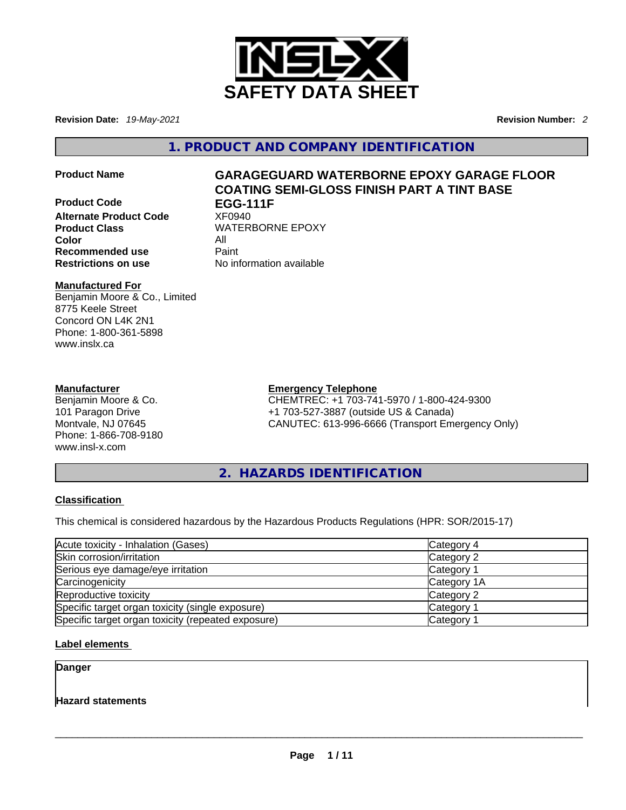

**Revision Date:** *19-May-2021* **Revision Number:** *2*

**1. PRODUCT AND COMPANY IDENTIFICATION** 

- **Product Code EGG-111F**
- **Alternate Product Code** XF0940 **Product Class WATERBORNE EPOXY Color** All **Recommended use Paint Restrictions on use** No information available

# **Product Name GARAGEGUARD WATERBORNE EPOXY GARAGE FLOOR COATING SEMI-GLOSS FINISH PART A TINT BASE**

### **Manufactured For**

Benjamin Moore & Co., Limited 8775 Keele Street Concord ON L4K 2N1 Phone: 1-800-361-5898 www.inslx.ca

### **Manufacturer**

Benjamin Moore & Co. 101 Paragon Drive Montvale, NJ 07645 Phone: 1-866-708-9180 www.insl-x.com

### **Emergency Telephone**

CHEMTREC: +1 703-741-5970 / 1-800-424-9300 +1 703-527-3887 (outside US & Canada) CANUTEC: 613-996-6666 (Transport Emergency Only)

**2. HAZARDS IDENTIFICATION** 

### **Classification**

This chemical is considered hazardous by the Hazardous Products Regulations (HPR: SOR/2015-17)

| Acute toxicity - Inhalation (Gases)                | Category 4  |
|----------------------------------------------------|-------------|
| Skin corrosion/irritation                          | Category 2  |
| Serious eye damage/eye irritation                  | Category 1  |
| Carcinogenicity                                    | Category 1A |
| Reproductive toxicity                              | Category 2  |
| Specific target organ toxicity (single exposure)   | Category 1  |
| Specific target organ toxicity (repeated exposure) | Category 1  |

**Label elements** 

**Danger** 

**Hazard statements**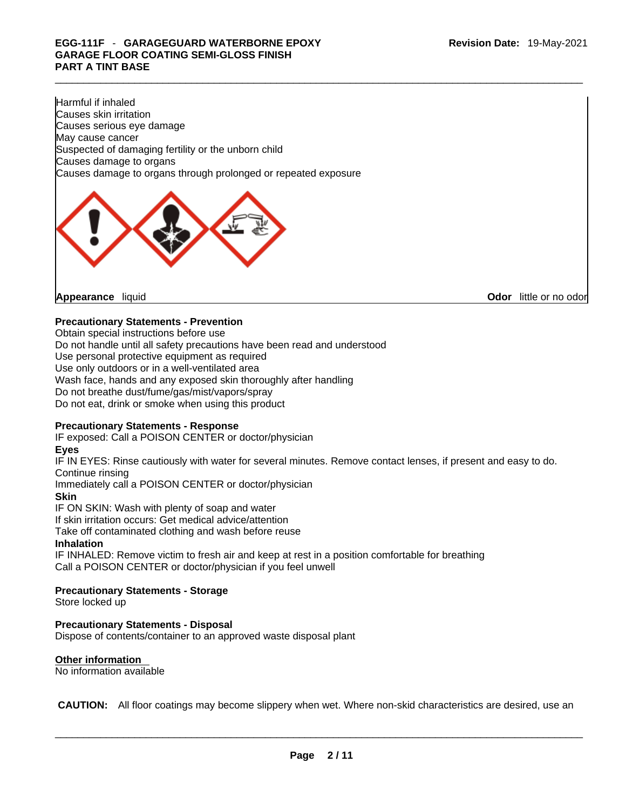## \_\_\_\_\_\_\_\_\_\_\_\_\_\_\_\_\_\_\_\_\_\_\_\_\_\_\_\_\_\_\_\_\_\_\_\_\_\_\_\_\_\_\_\_\_\_\_\_\_\_\_\_\_\_\_\_\_\_\_\_\_\_\_\_\_\_\_\_\_\_\_\_\_\_\_\_\_\_\_\_\_\_\_\_\_\_\_\_\_\_\_\_\_ **EGG-111F** - **GARAGEGUARD WATERBORNE EPOXY GARAGE FLOOR COATING SEMI-GLOSS FINISH PART A TINT BASE**

Harmful if inhaled Causes skin irritation Causes serious eye damage May cause cancer Suspected of damaging fertility or the unborn child Causes damage to organs Causes damage to organs through prolonged or repeated exposure



**Odor** little or no odor

### **Precautionary Statements - Prevention**

Obtain special instructions before use Do not handle until all safety precautions have been read and understood Use personal protective equipment as required Use only outdoors or in a well-ventilated area Wash face, hands and any exposed skin thoroughly after handling Do not breathe dust/fume/gas/mist/vapors/spray Do not eat, drink or smoke when using this product

### **Precautionary Statements - Response**

IF exposed: Call a POISON CENTER or doctor/physician

### **Eyes**

IF IN EYES: Rinse cautiously with water forseveral minutes. Remove contact lenses, if present and easy to do. Continue rinsing

Immediately call a POISON CENTER or doctor/physician

### **Skin**

IF ON SKIN: Wash with plenty of soap and water

If skin irritation occurs: Get medical advice/attention

Take off contaminated clothing and wash before reuse

### **Inhalation**

IF INHALED: Remove victim to fresh air and keep at rest in a position comfortable for breathing Call a POISON CENTER or doctor/physician if you feel unwell

### **Precautionary Statements - Storage**

Store locked up

### **Precautionary Statements - Disposal**

Dispose of contents/container to an approved waste disposal plant

### **Other information**

No information available

 **CAUTION:** All floor coatings may become slippery when wet. Where non-skid characteristics are desired, use an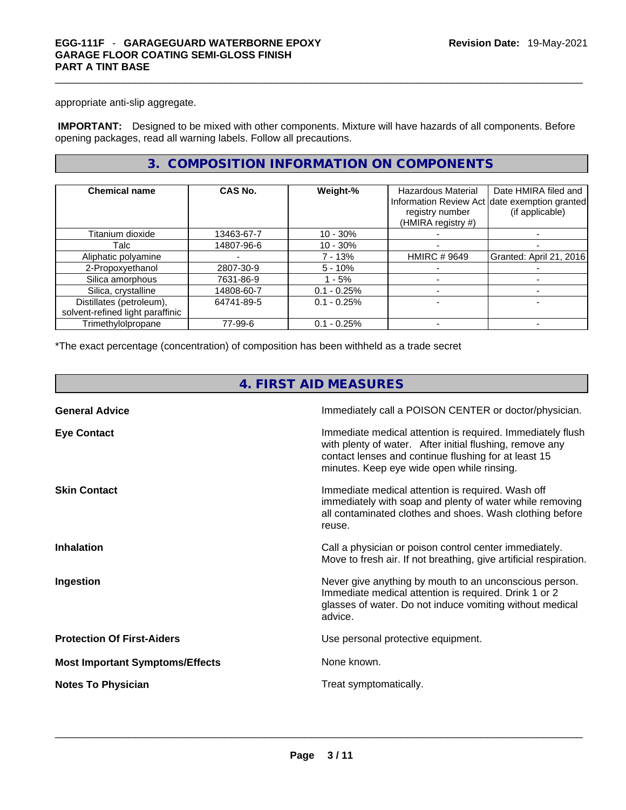appropriate anti-slip aggregate.

 **IMPORTANT:** Designed to be mixed with other components. Mixture will have hazards of all components. Before opening packages, read all warning labels. Follow all precautions.

### **3. COMPOSITION INFORMATION ON COMPONENTS**

| <b>Chemical name</b>             | CAS No.    | Weight-%      | <b>Hazardous Material</b><br>registry number<br>(HMIRA registry #) | Date HMIRA filed and<br>Information Review Act date exemption granted<br>(if applicable) |
|----------------------------------|------------|---------------|--------------------------------------------------------------------|------------------------------------------------------------------------------------------|
| Titanium dioxide                 | 13463-67-7 | $10 - 30%$    |                                                                    |                                                                                          |
| Talc                             | 14807-96-6 | $10 - 30%$    |                                                                    |                                                                                          |
| Aliphatic polyamine              |            | 7 - 13%       | <b>HMIRC # 9649</b>                                                | Granted: April 21, 2016                                                                  |
| 2-Propoxyethanol                 | 2807-30-9  | $5 - 10%$     |                                                                    |                                                                                          |
| Silica amorphous                 | 7631-86-9  | $-5%$         |                                                                    |                                                                                          |
| Silica, crystalline              | 14808-60-7 | $0.1 - 0.25%$ |                                                                    |                                                                                          |
| Distillates (petroleum),         | 64741-89-5 | $0.1 - 0.25%$ |                                                                    |                                                                                          |
| solvent-refined light paraffinic |            |               |                                                                    |                                                                                          |
| Trimethylolpropane               | 77-99-6    | $0.1 - 0.25%$ |                                                                    |                                                                                          |

\*The exact percentage (concentration) of composition has been withheld as a trade secret

| 4. FIRST AID MEASURES                  |                                                                                                                                                                                                                              |  |  |
|----------------------------------------|------------------------------------------------------------------------------------------------------------------------------------------------------------------------------------------------------------------------------|--|--|
| <b>General Advice</b>                  | Immediately call a POISON CENTER or doctor/physician.                                                                                                                                                                        |  |  |
| <b>Eye Contact</b>                     | Immediate medical attention is required. Immediately flush<br>with plenty of water. After initial flushing, remove any<br>contact lenses and continue flushing for at least 15<br>minutes. Keep eye wide open while rinsing. |  |  |
| <b>Skin Contact</b>                    | Immediate medical attention is required. Wash off<br>immediately with soap and plenty of water while removing<br>all contaminated clothes and shoes. Wash clothing before<br>reuse.                                          |  |  |
| <b>Inhalation</b>                      | Call a physician or poison control center immediately.<br>Move to fresh air. If not breathing, give artificial respiration.                                                                                                  |  |  |
| Ingestion                              | Never give anything by mouth to an unconscious person.<br>Immediate medical attention is required. Drink 1 or 2<br>glasses of water. Do not induce vomiting without medical<br>advice.                                       |  |  |
| <b>Protection Of First-Aiders</b>      | Use personal protective equipment.                                                                                                                                                                                           |  |  |
| <b>Most Important Symptoms/Effects</b> | None known.                                                                                                                                                                                                                  |  |  |
| <b>Notes To Physician</b>              | Treat symptomatically.                                                                                                                                                                                                       |  |  |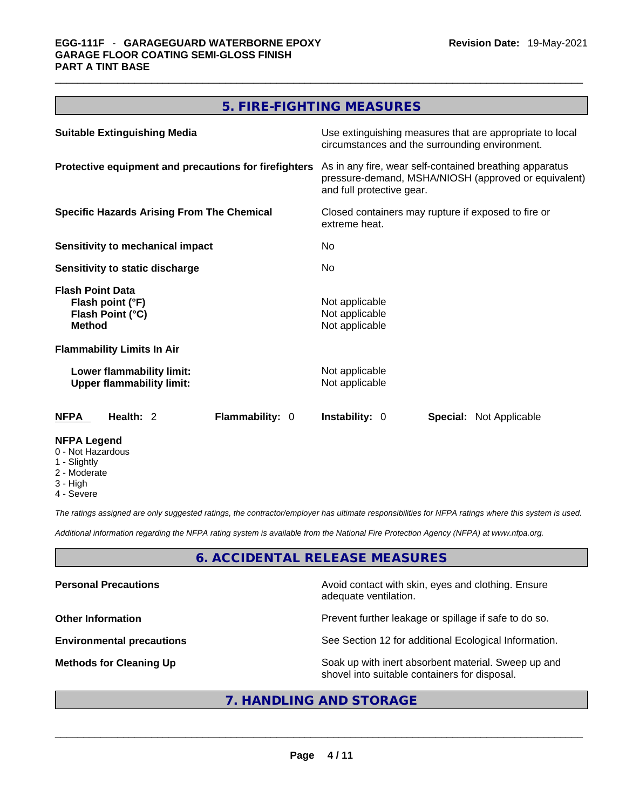### **5. FIRE-FIGHTING MEASURES**

| <b>Suitable Extinguishing Media</b>                                              | Use extinguishing measures that are appropriate to local<br>circumstances and the surrounding environment.                                   |  |  |
|----------------------------------------------------------------------------------|----------------------------------------------------------------------------------------------------------------------------------------------|--|--|
| Protective equipment and precautions for firefighters                            | As in any fire, wear self-contained breathing apparatus<br>pressure-demand, MSHA/NIOSH (approved or equivalent)<br>and full protective gear. |  |  |
| <b>Specific Hazards Arising From The Chemical</b>                                | Closed containers may rupture if exposed to fire or<br>extreme heat.                                                                         |  |  |
| Sensitivity to mechanical impact                                                 | No.                                                                                                                                          |  |  |
| <b>Sensitivity to static discharge</b>                                           | <b>No</b>                                                                                                                                    |  |  |
| <b>Flash Point Data</b><br>Flash point (°F)<br>Flash Point (°C)<br><b>Method</b> | Not applicable<br>Not applicable<br>Not applicable                                                                                           |  |  |
| <b>Flammability Limits In Air</b>                                                |                                                                                                                                              |  |  |
| Lower flammability limit:<br><b>Upper flammability limit:</b>                    | Not applicable<br>Not applicable                                                                                                             |  |  |
| Health: 2<br>Flammability: 0<br><b>NFPA</b>                                      | <b>Instability: 0</b><br><b>Special: Not Applicable</b>                                                                                      |  |  |
| <b>NFPA Legend</b><br>0 - Not Hazardous<br>$\bigcap$ is a latter of $\bigcap$    |                                                                                                                                              |  |  |

- 1 Slightly 2 - Moderate
- 3 High
- 4 Severe

*The ratings assigned are only suggested ratings, the contractor/employer has ultimate responsibilities for NFPA ratings where this system is used.* 

*Additional information regarding the NFPA rating system is available from the National Fire Protection Agency (NFPA) at www.nfpa.org.* 

### **6. ACCIDENTAL RELEASE MEASURES**

| Avoid contact with skin, eyes and clothing. Ensure<br>adequate ventilation.                          |
|------------------------------------------------------------------------------------------------------|
| Prevent further leakage or spillage if safe to do so.                                                |
| See Section 12 for additional Ecological Information.                                                |
| Soak up with inert absorbent material. Sweep up and<br>shovel into suitable containers for disposal. |
|                                                                                                      |

### **7. HANDLING AND STORAGE**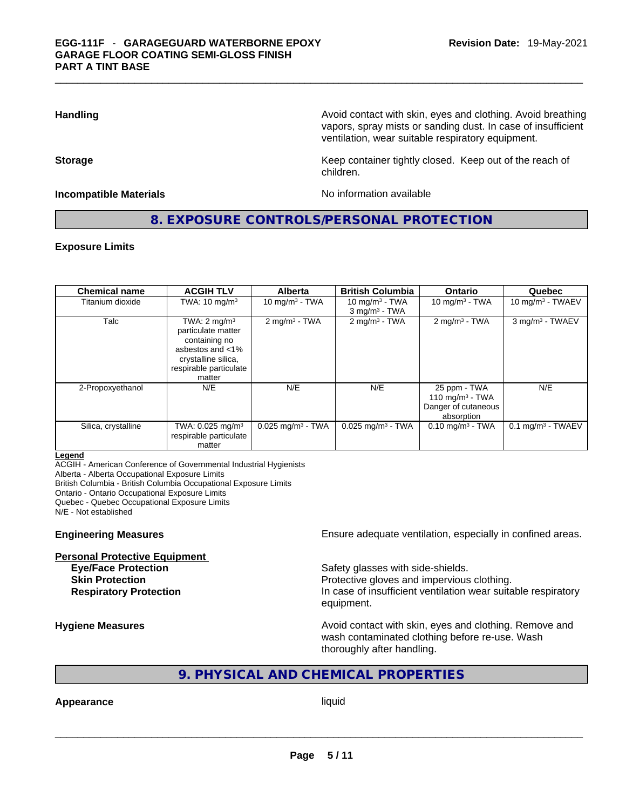**Handling <b>Avoid contact with skin, eyes and clothing.** Avoid breathing and all the sking and clothing. Avoid breathing vapors, spray mists or sanding dust. In case of insufficient ventilation, wear suitable respiratory equipment.

**Storage Keep container tightly closed. Keep out of the reach of Keep** container tightly closed. Keep out of the reach of

#### **Incompatible Materials No information available No information available**

### **8. EXPOSURE CONTROLS/PERSONAL PROTECTION**

children.

#### **Exposure Limits**

| <b>Chemical name</b> | <b>ACGIH TLV</b>                                                                                                                              | <b>Alberta</b>                  | <b>British Columbia</b>                          | Ontario                                                                 | Quebec                          |
|----------------------|-----------------------------------------------------------------------------------------------------------------------------------------------|---------------------------------|--------------------------------------------------|-------------------------------------------------------------------------|---------------------------------|
| Titanium dioxide     | TWA: $10 \text{ mg/m}^3$                                                                                                                      | 10 mg/m $3$ - TWA               | 10 mg/m $3$ - TWA<br>$3$ mg/m <sup>3</sup> - TWA | 10 mg/m $3$ - TWA                                                       | 10 mg/m $3$ - TWAEV             |
| Talc                 | TWA: $2 \text{ mg/m}^3$<br>particulate matter<br>containing no<br>asbestos and <1%<br>crystalline silica,<br>respirable particulate<br>matter | $2$ mg/m <sup>3</sup> - TWA     | $2$ mg/m <sup>3</sup> - TWA                      | $2$ mg/m <sup>3</sup> - TWA                                             | 3 mg/m <sup>3</sup> - TWAEV     |
| 2-Propoxyethanol     | N/E                                                                                                                                           | N/E                             | N/E                                              | 25 ppm - TWA<br>110 mg/m $3$ - TWA<br>Danger of cutaneous<br>absorption | N/E                             |
| Silica, crystalline  | TWA: $0.025$ mg/m <sup>3</sup><br>respirable particulate<br>matter                                                                            | $0.025$ mg/m <sup>3</sup> - TWA | $0.025$ mg/m <sup>3</sup> - TWA                  | $0.10 \text{ mg/m}^3$ - TWA                                             | $0.1$ mg/m <sup>3</sup> - TWAEV |

#### **Legend**

ACGIH - American Conference of Governmental Industrial Hygienists

Alberta - Alberta Occupational Exposure Limits

British Columbia - British Columbia Occupational Exposure Limits

Ontario - Ontario Occupational Exposure Limits

Quebec - Quebec Occupational Exposure Limits

N/E - Not established

### **Personal Protective Equipment**

**Engineering Measures** Ensure adequate ventilation, especially in confined areas.

**Eye/Face Protection Safety glasses with side-shields. Skin Protection Protection Protective gloves and impervious clothing. Respiratory Protection In case of insufficient ventilation wear suitable respiratory** equipment.

**Hygiene Measures Avoid contact with skin, eyes and clothing. Remove and Avoid contact with skin, eyes and clothing. Remove and Avoid contact with skin, eyes and clothing. Remove and** wash contaminated clothing before re-use. Wash thoroughly after handling.

### **9. PHYSICAL AND CHEMICAL PROPERTIES**

# **Appearance** liquid \_\_\_\_\_\_\_\_\_\_\_\_\_\_\_\_\_\_\_\_\_\_\_\_\_\_\_\_\_\_\_\_\_\_\_\_\_\_\_\_\_\_\_\_\_\_\_\_\_\_\_\_\_\_\_\_\_\_\_\_\_\_\_\_\_\_\_\_\_\_\_\_\_\_\_\_\_\_\_\_\_\_\_\_\_\_\_\_\_\_\_\_\_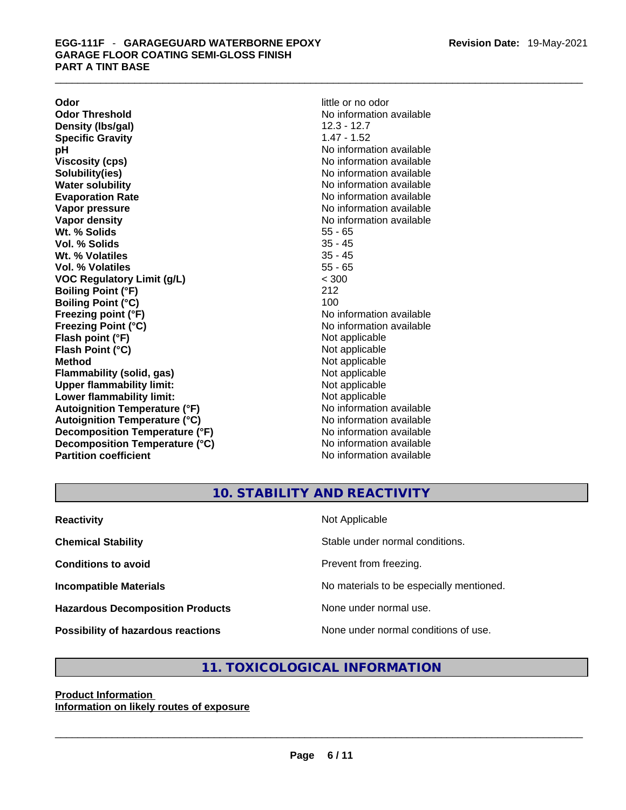**Odor little or no odor Odor Threshold** No information available **Density (lbs/gal)** 12.3 - 12.7 **Specific Gravity** 1.47 - 1.52 **pH** No information available **Viscosity (cps) No information available No information available Solubility(ies)** No information available **Evaporation Rate No information available No information available Vapor pressure**<br> **Vapor density**<br> **Vapor density**<br> **Vapor density**<br> **Vapor density Wt. % Solids** 55 - 65 **Vol. % Solids** 35 - 45 Wt. % Volatiles **Vol. % Volatiles** 55 - 65 **VOC Regulatory Limit (g/L)** < 300 **Boiling Point (°F)** 212 **Boiling Point (°C)** 100 **Freezing point (°F)** No information available **Freezing Point (°C)** The Control of the Monometer of Noinformation available **Flash point (°F)** Not applicable **Flash Point (°C)** Not applicable **Method** Not applicable **Flammability (solid, gas)** Not applicable **Upper flammability limit:** Not applicable **Lower flammability limit:** Not applicable **Autoignition Temperature (°F)** No information available **Autoignition Temperature (°C)** No information available **Decomposition Temperature (°F)** No information available<br> **Decomposition Temperature (°C)** No information available **Decomposition Temperature (°C)**<br>Partition coefficient

**No information available No information available No information available** 

### **10. STABILITY AND REACTIVITY**

| <b>Reactivity</b>                         | Not Applicable                           |
|-------------------------------------------|------------------------------------------|
| <b>Chemical Stability</b>                 | Stable under normal conditions.          |
| <b>Conditions to avoid</b>                | Prevent from freezing.                   |
| <b>Incompatible Materials</b>             | No materials to be especially mentioned. |
| <b>Hazardous Decomposition Products</b>   | None under normal use.                   |
| <b>Possibility of hazardous reactions</b> | None under normal conditions of use.     |

### **11. TOXICOLOGICAL INFORMATION**

### **Product Information Information on likely routes of exposure**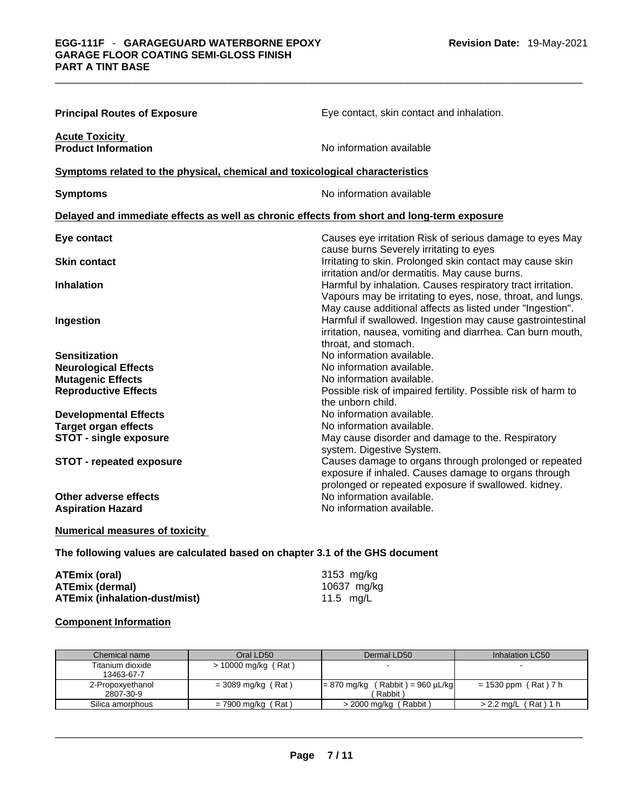| <b>Principal Routes of Exposure</b>                                                        | Eye contact, skin contact and inhalation.                                                                                                                                               |
|--------------------------------------------------------------------------------------------|-----------------------------------------------------------------------------------------------------------------------------------------------------------------------------------------|
| <b>Acute Toxicity</b><br><b>Product Information</b>                                        | No information available                                                                                                                                                                |
| Symptoms related to the physical, chemical and toxicological characteristics               |                                                                                                                                                                                         |
| <b>Symptoms</b>                                                                            | No information available                                                                                                                                                                |
| Delayed and immediate effects as well as chronic effects from short and long-term exposure |                                                                                                                                                                                         |
| Eye contact                                                                                | Causes eye irritation Risk of serious damage to eyes May<br>cause burns Severely irritating to eyes                                                                                     |
| <b>Skin contact</b>                                                                        | Irritating to skin. Prolonged skin contact may cause skin<br>irritation and/or dermatitis. May cause burns.                                                                             |
| <b>Inhalation</b>                                                                          | Harmful by inhalation. Causes respiratory tract irritation.<br>Vapours may be irritating to eyes, nose, throat, and lungs.<br>May cause additional affects as listed under "Ingestion". |
| Ingestion                                                                                  | Harmful if swallowed. Ingestion may cause gastrointestinal<br>irritation, nausea, vomiting and diarrhea. Can burn mouth,<br>throat, and stomach.                                        |
| <b>Sensitization</b>                                                                       | No information available.                                                                                                                                                               |
| <b>Neurological Effects</b>                                                                | No information available.                                                                                                                                                               |
| <b>Mutagenic Effects</b>                                                                   | No information available.                                                                                                                                                               |
| <b>Reproductive Effects</b>                                                                | Possible risk of impaired fertility. Possible risk of harm to<br>the unborn child.                                                                                                      |
| <b>Developmental Effects</b>                                                               | No information available.                                                                                                                                                               |
| <b>Target organ effects</b>                                                                | No information available.                                                                                                                                                               |
| <b>STOT - single exposure</b>                                                              | May cause disorder and damage to the. Respiratory<br>system. Digestive System.                                                                                                          |
| <b>STOT - repeated exposure</b>                                                            | Causes damage to organs through prolonged or repeated<br>exposure if inhaled. Causes damage to organs through<br>prolonged or repeated exposure if swallowed. kidney.                   |
| Other adverse effects                                                                      | No information available.                                                                                                                                                               |
| <b>Aspiration Hazard</b>                                                                   | No information available.                                                                                                                                                               |
|                                                                                            |                                                                                                                                                                                         |

### **Numerical measures of toxicity**

### **The following values are calculated based on chapter 3.1 of the GHS document**

| ATEmix (oral)                 | 3153 mg/kg  |
|-------------------------------|-------------|
| <b>ATEmix (dermal)</b>        | 10637 mg/kg |
| ATEmix (inhalation-dust/mist) | 11.5 mg/L   |

### **Component Information**

| Chemical name    | Oral LD50             | Dermal LD50                        | Inhalation LC50           |
|------------------|-----------------------|------------------------------------|---------------------------|
| Titanium dioxide | $> 10000$ mg/kg (Rat) |                                    |                           |
| 13463-67-7       |                       |                                    |                           |
| 2-Propoxyethanol | $=$ 3089 mg/kg (Rat)  | $= 870$ mg/kg (Rabbit) = 960 µL/kg | $= 1530$ ppm (Rat) 7 h    |
| 2807-30-9        |                       | Rabbit)                            |                           |
| Silica amorphous | (Rat)<br>= 7900 mg/kg | > 2000 mg/kg (Rabbit)              | (Rat) 1 h<br>$>$ 2.2 mg/L |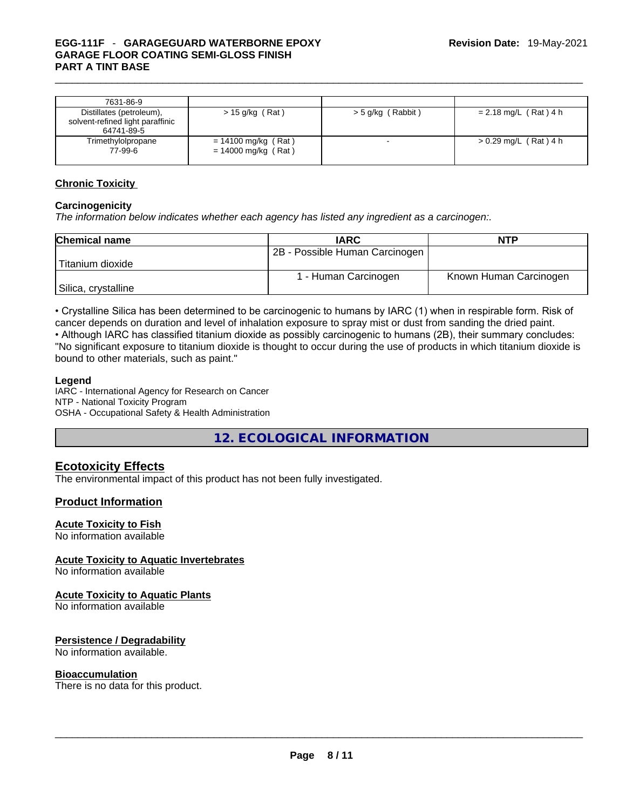## \_\_\_\_\_\_\_\_\_\_\_\_\_\_\_\_\_\_\_\_\_\_\_\_\_\_\_\_\_\_\_\_\_\_\_\_\_\_\_\_\_\_\_\_\_\_\_\_\_\_\_\_\_\_\_\_\_\_\_\_\_\_\_\_\_\_\_\_\_\_\_\_\_\_\_\_\_\_\_\_\_\_\_\_\_\_\_\_\_\_\_\_\_ **EGG-111F** - **GARAGEGUARD WATERBORNE EPOXY GARAGE FLOOR COATING SEMI-GLOSS FINISH PART A TINT BASE**

| 7631-86-9                                                                  |                                                |                     |                         |
|----------------------------------------------------------------------------|------------------------------------------------|---------------------|-------------------------|
| Distillates (petroleum),<br>solvent-refined light paraffinic<br>64741-89-5 | $> 15$ g/kg (Rat)                              | $>$ 5 g/kg (Rabbit) | $= 2.18$ mg/L (Rat) 4 h |
| Trimethylolpropane<br>77-99-6                                              | $= 14100$ mg/kg (Rat)<br>$= 14000$ mg/kg (Rat) |                     | $> 0.29$ mg/L (Rat) 4 h |

### **Chronic Toxicity**

### **Carcinogenicity**

*The information below indicates whether each agency has listed any ingredient as a carcinogen:.* 

| <b>Chemical name</b> | <b>IARC</b>                    | <b>NTP</b>             |
|----------------------|--------------------------------|------------------------|
|                      | 2B - Possible Human Carcinogen |                        |
| 'Titanium dioxide    |                                |                        |
|                      | 1 - Human Carcinogen           | Known Human Carcinogen |
| Silica, crystalline  |                                |                        |

• Crystalline Silica has been determined to be carcinogenic to humans by IARC (1) when in respirable form. Risk of cancer depends on duration and level of inhalation exposure to spray mist or dust from sanding the dried paint.• Although IARC has classified titanium dioxide as possibly carcinogenic to humans (2B), their summary concludes: "No significant exposure to titanium dioxide is thought to occur during the use of products in which titanium dioxide is bound to other materials, such as paint."

### **Legend**

IARC - International Agency for Research on Cancer NTP - National Toxicity Program OSHA - Occupational Safety & Health Administration

**12. ECOLOGICAL INFORMATION** 

### **Ecotoxicity Effects**

The environmental impact of this product has not been fully investigated.

### **Product Information**

### **Acute Toxicity to Fish**

No information available

### **Acute Toxicity to Aquatic Invertebrates**

No information available

### **Acute Toxicity to Aquatic Plants**

No information available

### **Persistence / Degradability**

No information available.

### **Bioaccumulation**

There is no data for this product. \_\_\_\_\_\_\_\_\_\_\_\_\_\_\_\_\_\_\_\_\_\_\_\_\_\_\_\_\_\_\_\_\_\_\_\_\_\_\_\_\_\_\_\_\_\_\_\_\_\_\_\_\_\_\_\_\_\_\_\_\_\_\_\_\_\_\_\_\_\_\_\_\_\_\_\_\_\_\_\_\_\_\_\_\_\_\_\_\_\_\_\_\_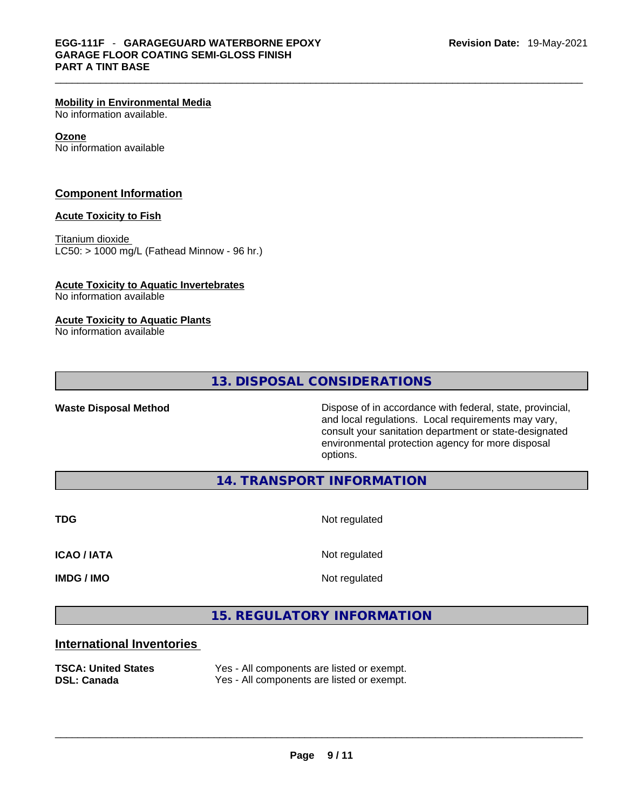#### **Mobility in Environmental Media**

No information available.

#### **Ozone**

No information available

### **Component Information**

#### **Acute Toxicity to Fish**

Titanium dioxide  $LCSO:$  > 1000 mg/L (Fathead Minnow - 96 hr.)

### **Acute Toxicity to Aquatic Invertebrates**

No information available

### **Acute Toxicity to Aquatic Plants**

No information available

### **13. DISPOSAL CONSIDERATIONS**

Waste Disposal Method **Waste Disposal Method Dispose of in accordance with federal, state, provincial,** and local regulations. Local requirements may vary, consult your sanitation department or state-designated environmental protection agency for more disposal options.

**14. TRANSPORT INFORMATION** 

**TDG** Not regulated

**ICAO / IATA** Not regulated

**IMDG / IMO** Not regulated

### **15. REGULATORY INFORMATION**

### **International Inventories**

| <b>TSCA: United States</b> | Yes - All components are listed or exempt. |
|----------------------------|--------------------------------------------|
| <b>DSL: Canada</b>         | Yes - All components are listed or exempt. |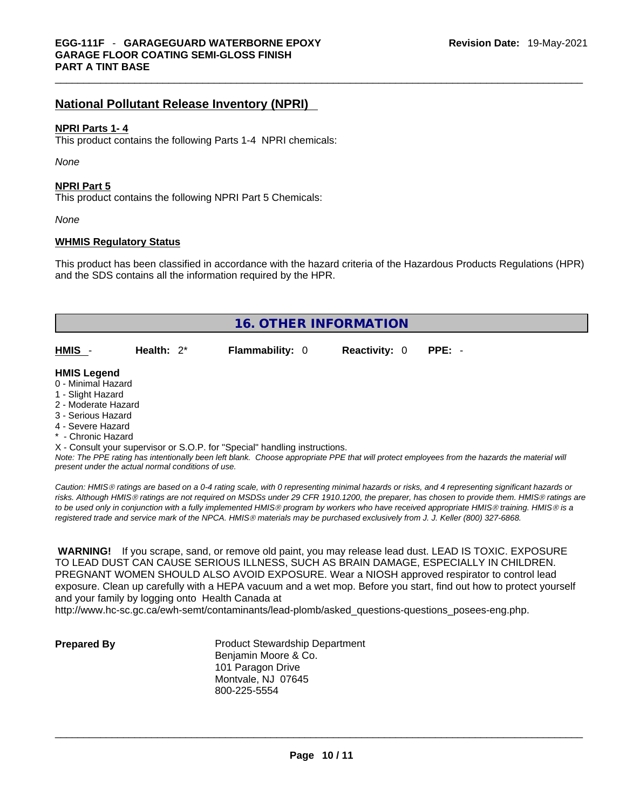### **National Pollutant Release Inventory (NPRI)**

#### **NPRI Parts 1- 4**

This product contains the following Parts 1-4 NPRI chemicals:

*None*

### **NPRI Part 5**

This product contains the following NPRI Part 5 Chemicals:

*None*

#### **WHMIS Regulatory Status**

This product has been classified in accordance with the hazard criteria of the Hazardous Products Regulations (HPR) and the SDS contains all the information required by the HPR.

| 16. OTHER INFORMATION                                                                                                                                 |               |                                                                            |                      |          |  |
|-------------------------------------------------------------------------------------------------------------------------------------------------------|---------------|----------------------------------------------------------------------------|----------------------|----------|--|
| HMIS -                                                                                                                                                | Health: $2^*$ | <b>Flammability: 0</b>                                                     | <b>Reactivity: 0</b> | $PPE: -$ |  |
| <b>HMIS Legend</b><br>0 - Minimal Hazard<br>1 - Slight Hazard<br>2 - Moderate Hazard<br>3 - Serious Hazard<br>4 - Severe Hazard<br>* - Chronic Hazard |               |                                                                            |                      |          |  |
|                                                                                                                                                       |               | X - Consult your supervisor or S.O.P. for "Special" handling instructions. |                      |          |  |
| Note: The PPF rating has intentionally heen left hlank. Choose annropriate PPF that will protect employees from the hazards the material will         |               |                                                                            |                      |          |  |

*Note: The PPE rating has intentionally been left blank. Choose appropriate PPE that will protect employees from the hazards the material will present under the actual normal conditions of use.* 

*Caution: HMISÒ ratings are based on a 0-4 rating scale, with 0 representing minimal hazards or risks, and 4 representing significant hazards or risks. Although HMISÒ ratings are not required on MSDSs under 29 CFR 1910.1200, the preparer, has chosen to provide them. HMISÒ ratings are to be used only in conjunction with a fully implemented HMISÒ program by workers who have received appropriate HMISÒ training. HMISÒ is a registered trade and service mark of the NPCA. HMISÒ materials may be purchased exclusively from J. J. Keller (800) 327-6868.* 

 **WARNING!** If you scrape, sand, or remove old paint, you may release lead dust. LEAD IS TOXIC. EXPOSURE TO LEAD DUST CAN CAUSE SERIOUS ILLNESS, SUCH AS BRAIN DAMAGE, ESPECIALLY IN CHILDREN. PREGNANT WOMEN SHOULD ALSO AVOID EXPOSURE.Wear a NIOSH approved respirator to control lead exposure. Clean up carefully with a HEPA vacuum and a wet mop. Before you start, find out how to protect yourself and your family by logging onto Health Canada at

http://www.hc-sc.gc.ca/ewh-semt/contaminants/lead-plomb/asked\_questions-questions\_posees-eng.php.

**Prepared By Product Stewardship Department** Benjamin Moore & Co. 101 Paragon Drive Montvale, NJ 07645 800-225-5554